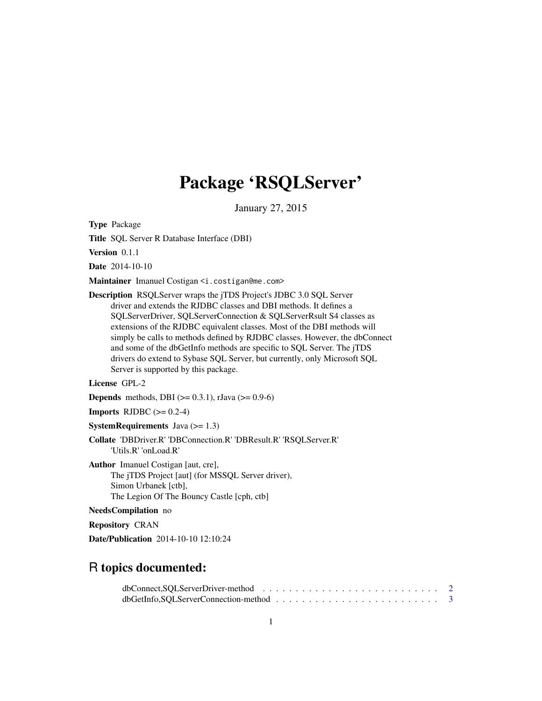## Package 'RSQLServer'

January 27, 2015

<span id="page-0-0"></span>Type Package

Title SQL Server R Database Interface (DBI)

Version 0.1.1

Date 2014-10-10

Maintainer Imanuel Costigan <i.costigan@me.com>

Description RSQLServer wraps the jTDS Project's JDBC 3.0 SQL Server driver and extends the RJDBC classes and DBI methods. It defines a SQLServerDriver, SQLServerConnection & SQLServerRsult S4 classes as extensions of the RJDBC equivalent classes. Most of the DBI methods will simply be calls to methods defined by RJDBC classes. However, the dbConnect and some of the dbGetInfo methods are specific to SQL Server. The jTDS drivers do extend to Sybase SQL Server, but currently, only Microsoft SQL Server is supported by this package.

License GPL-2

**Depends** methods, DBI ( $> = 0.3.1$ ), rJava ( $> = 0.9-6$ )

**Imports** RJDBC  $(>= 0.2-4)$ 

**SystemRequirements** Java  $(>= 1.3)$ 

Collate 'DBDriver.R' 'DBConnection.R' 'DBResult.R' 'RSQLServer.R' 'Utils.R' 'onLoad.R'

Author Imanuel Costigan [aut, cre], The jTDS Project [aut] (for MSSQL Server driver), Simon Urbanek [ctb], The Legion Of The Bouncy Castle [cph, ctb]

NeedsCompilation no

Repository CRAN

Date/Publication 2014-10-10 12:10:24

### R topics documented: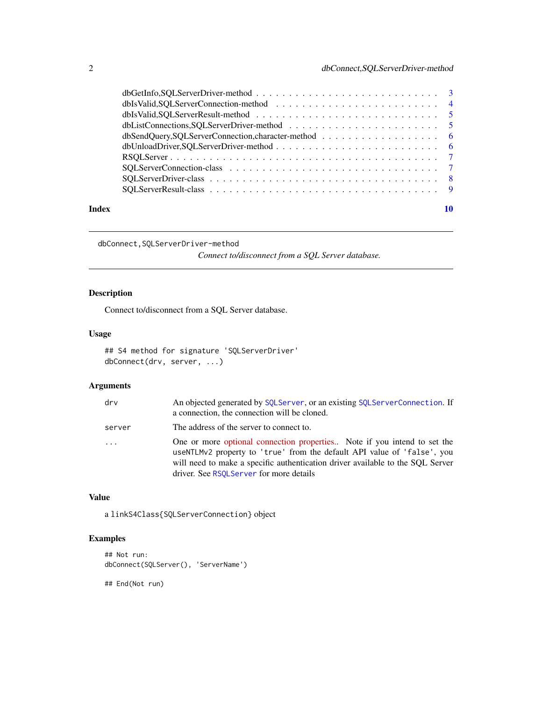<span id="page-1-0"></span>

| Index |  |
|-------|--|

dbConnect,SQLServerDriver-method

*Connect to/disconnect from a SQL Server database.*

#### Description

Connect to/disconnect from a SQL Server database.

#### Usage

```
## S4 method for signature 'SQLServerDriver'
dbConnect(drv, server, ...)
```
#### Arguments

| drv      | An objected generated by SQLServer, or an existing SQLServerConnection. If<br>a connection, the connection will be cloned.                                                                                                                                                       |
|----------|----------------------------------------------------------------------------------------------------------------------------------------------------------------------------------------------------------------------------------------------------------------------------------|
| server   | The address of the server to connect to.                                                                                                                                                                                                                                         |
| $\ddots$ | One or more optional connection properties Note if you intend to set the<br>useNTLMv2 property to 'true' from the default API value of 'false', you<br>will need to make a specific authentication driver available to the SOL Server<br>driver. See RSOLServer for more details |

#### Value

a linkS4Class{SQLServerConnection} object

#### Examples

```
## Not run:
dbConnect(SQLServer(), 'ServerName')
```
## End(Not run)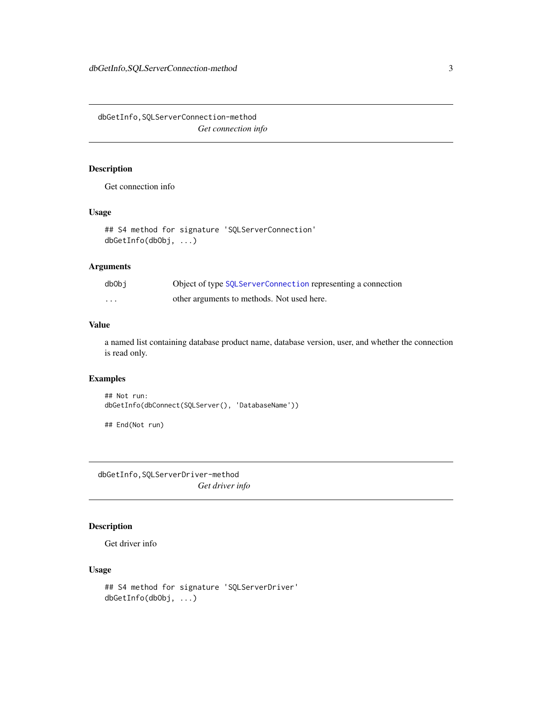<span id="page-2-0"></span>dbGetInfo,SQLServerConnection-method *Get connection info*

#### Description

Get connection info

#### Usage

```
## S4 method for signature 'SQLServerConnection'
dbGetInfo(dbObj, ...)
```
#### Arguments

| db0bj                   | Object of type SQLServerConnection representing a connection |
|-------------------------|--------------------------------------------------------------|
| $\cdot$ $\cdot$ $\cdot$ | other arguments to methods. Not used here.                   |

#### Value

a named list containing database product name, database version, user, and whether the connection is read only.

#### Examples

```
## Not run:
dbGetInfo(dbConnect(SQLServer(), 'DatabaseName'))
```
## End(Not run)

dbGetInfo,SQLServerDriver-method *Get driver info*

#### Description

Get driver info

#### Usage

```
## S4 method for signature 'SQLServerDriver'
dbGetInfo(dbObj, ...)
```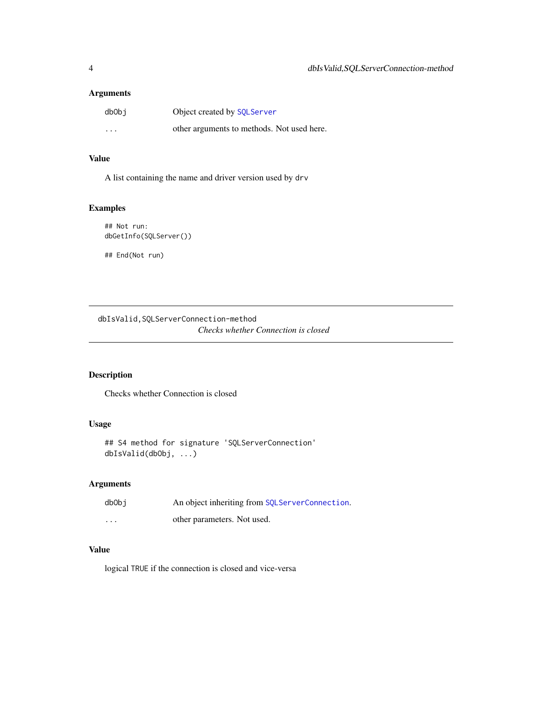#### <span id="page-3-0"></span>Arguments

| dbObi    | Object created by SQLServer                |
|----------|--------------------------------------------|
| $\cdots$ | other arguments to methods. Not used here. |

#### Value

A list containing the name and driver version used by drv

#### Examples

```
## Not run:
dbGetInfo(SQLServer())
```
## End(Not run)

dbIsValid,SQLServerConnection-method *Checks whether Connection is closed*

#### Description

Checks whether Connection is closed

#### Usage

```
## S4 method for signature 'SQLServerConnection'
dbIsValid(dbObj, ...)
```
#### Arguments

| dbObi    | An object inheriting from SQLServerConnection. |
|----------|------------------------------------------------|
| $\cdots$ | other parameters. Not used.                    |

#### Value

logical TRUE if the connection is closed and vice-versa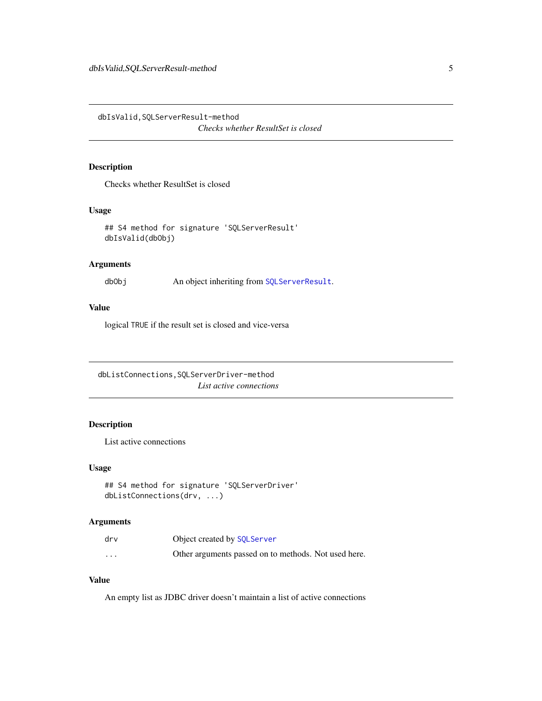<span id="page-4-0"></span>dbIsValid,SQLServerResult-method

*Checks whether ResultSet is closed*

#### Description

Checks whether ResultSet is closed

#### Usage

```
## S4 method for signature 'SQLServerResult'
dbIsValid(dbObj)
```
#### Arguments

dbObj An object inheriting from [SQLServerResult](#page-8-1).

#### Value

logical TRUE if the result set is closed and vice-versa

dbListConnections,SQLServerDriver-method *List active connections*

#### Description

List active connections

#### Usage

```
## S4 method for signature 'SQLServerDriver'
dbListConnections(drv, ...)
```
#### Arguments

| drv      | Object created by SQLServer                          |
|----------|------------------------------------------------------|
| $\cdots$ | Other arguments passed on to methods. Not used here. |

#### Value

An empty list as JDBC driver doesn't maintain a list of active connections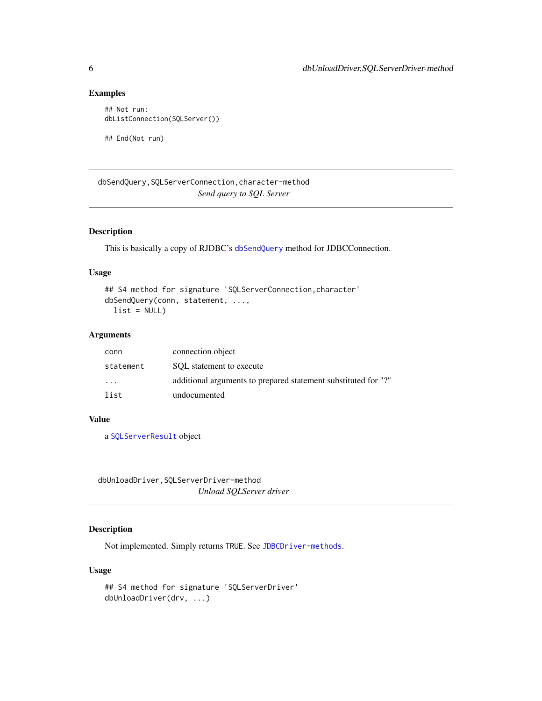#### Examples

```
## Not run:
dbListConnection(SQLServer())
```
## End(Not run)

dbSendQuery,SQLServerConnection,character-method *Send query to SQL Server*

#### Description

This is basically a copy of RJDBC's [dbSendQuery](#page-0-0) method for JDBCConnection.

#### Usage

```
## S4 method for signature 'SQLServerConnection,character'
dbSendQuery(conn, statement, ...,
 list = NULL)
```
#### Arguments

| conn                    | connection object                                              |
|-------------------------|----------------------------------------------------------------|
| statement               | SOL statement to execute                                       |
| $\cdot$ $\cdot$ $\cdot$ | additional arguments to prepared statement substituted for "?" |
| list                    | undocumented                                                   |

#### Value

a [SQLServerResult](#page-8-1) object

dbUnloadDriver,SQLServerDriver-method *Unload SQLServer driver*

#### Description

Not implemented. Simply returns TRUE. See [JDBCDriver-methods](#page-0-0).

#### Usage

```
## S4 method for signature 'SQLServerDriver'
dbUnloadDriver(drv, ...)
```
<span id="page-5-0"></span>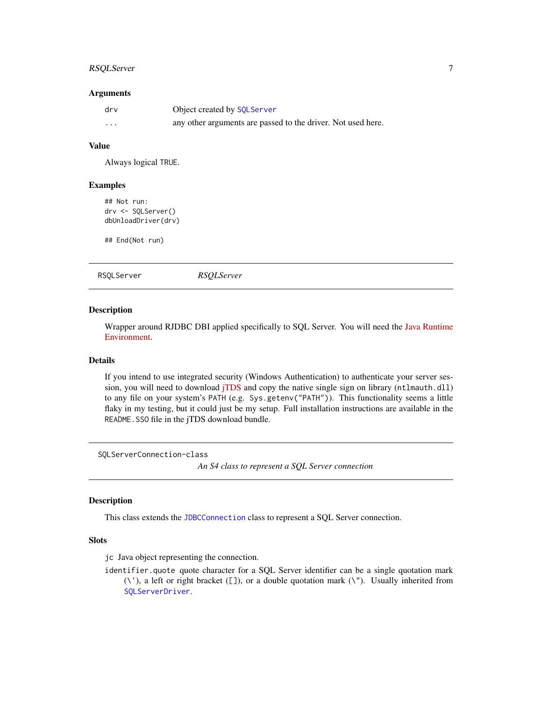#### <span id="page-6-0"></span>RSQLServer 7

#### Arguments

| drv | Object created by SQLServer                                  |
|-----|--------------------------------------------------------------|
| .   | any other arguments are passed to the driver. Not used here. |

#### Value

Always logical TRUE.

#### Examples

```
## Not run:
drv <- SQLServer()
dbUnloadDriver(drv)
```
## End(Not run)

<span id="page-6-2"></span>RSQLServer *RSQLServer*

#### Description

Wrapper around RJDBC DBI applied specifically to SQL Server. You will need the [Java Runtime](https://www.java.com/en/download/index.jsp) [Environment.](https://www.java.com/en/download/index.jsp)

#### Details

If you intend to use integrated security (Windows Authentication) to authenticate your server session, you will need to download [jTDS](http://sourceforge.net/projects/jtds/files/) and copy the native single sign on library (ntlmauth.dll) to any file on your system's PATH (e.g. Sys.getenv("PATH")). This functionality seems a little flaky in my testing, but it could just be my setup. Full installation instructions are available in the README.SSO file in the jTDS download bundle.

<span id="page-6-1"></span>SQLServerConnection-class

*An S4 class to represent a SQL Server connection*

#### Description

This class extends the [JDBCConnection](#page-0-0) class to represent a SQL Server connection.

#### Slots

jc Java object representing the connection.

identifier.quote quote character for a SQL Server identifier can be a single quotation mark  $(\nabla)$ , a left or right bracket ([]), or a double quotation mark  $(\nabla)$ . Usually inherited from [SQLServerDriver](#page-7-2).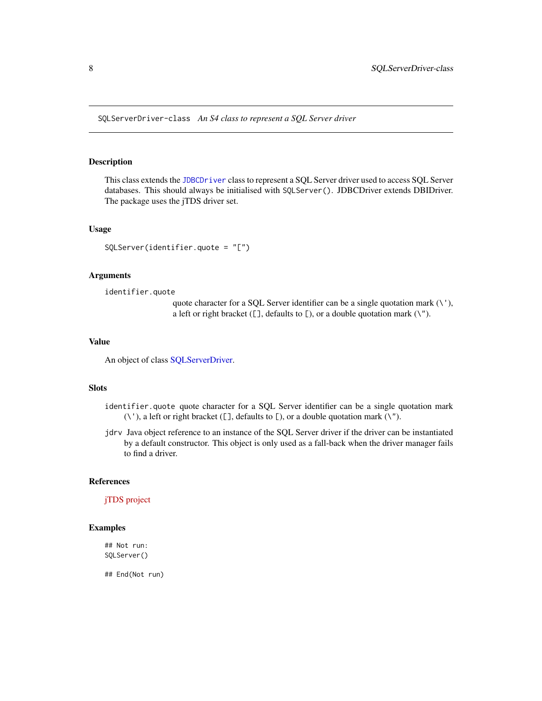<span id="page-7-2"></span><span id="page-7-0"></span>SQLServerDriver-class *An S4 class to represent a SQL Server driver*

#### <span id="page-7-1"></span>Description

This class extends the [JDBCDriver](#page-0-0) class to represent a SQL Server driver used to access SQL Server databases. This should always be initialised with SQLServer(). JDBCDriver extends DBIDriver. The package uses the jTDS driver set.

#### Usage

SQLServer(identifier.quote = "[")

#### Arguments

identifier.quote

quote character for a SQL Server identifier can be a single quotation mark  $(\nabla)$ , a left or right bracket ([], defaults to [), or a double quotation mark  $(\nabla^n)$ .

#### Value

An object of class [SQLServerDriver.](#page-7-2)

#### Slots

- identifier.quote quote character for a SQL Server identifier can be a single quotation mark  $(\nabla)$ , a left or right bracket ([], defaults to [), or a double quotation mark  $(\nabla')$ .
- jdrv Java object reference to an instance of the SQL Server driver if the driver can be instantiated by a default constructor. This object is only used as a fall-back when the driver manager fails to find a driver.

#### References

[jTDS project](http://jtds.sourceforge.net/)

#### Examples

## Not run: SQLServer()

## End(Not run)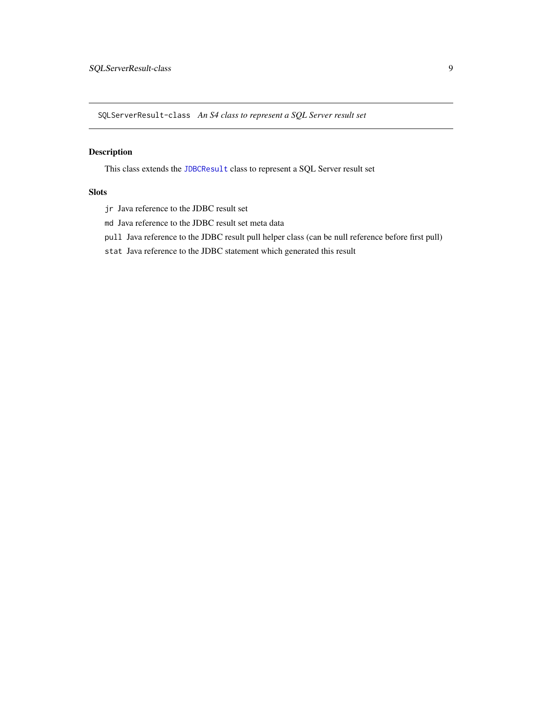<span id="page-8-1"></span><span id="page-8-0"></span>SQLServerResult-class *An S4 class to represent a SQL Server result set*

#### Description

This class extends the [JDBCResult](#page-0-0) class to represent a SQL Server result set

#### **Slots**

- jr Java reference to the JDBC result set
- md Java reference to the JDBC result set meta data
- pull Java reference to the JDBC result pull helper class (can be null reference before first pull)
- stat Java reference to the JDBC statement which generated this result